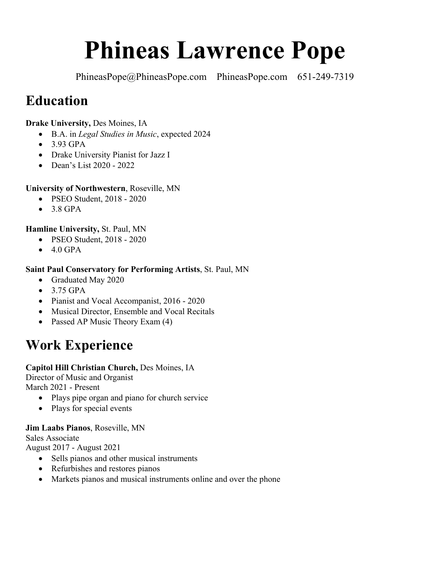# **Phineas Lawrence Pope**

PhineasPope@PhineasPope.com PhineasPope.com 651-249-7319

# **Education**

### **Drake University,** Des Moines, IA

- B.A. in *Legal Studies in Music*, expected 2024
- 3.93 GPA
- Drake University Pianist for Jazz I
- Dean's List 2020 2022

### **University of Northwestern**, Roseville, MN

- PSEO Student, 2018 2020
- 3.8 GPA

### **Hamline University,** St. Paul, MN

- PSEO Student, 2018 2020
- $\bullet$  4.0 GPA

### **Saint Paul Conservatory for Performing Artists**, St. Paul, MN

- Graduated May 2020
- 3.75 GPA
- Pianist and Vocal Accompanist, 2016 2020
- Musical Director, Ensemble and Vocal Recitals
- Passed AP Music Theory Exam (4)

# **Work Experience**

### **Capitol Hill Christian Church,** Des Moines, IA

Director of Music and Organist March 2021 - Present

- Plays pipe organ and piano for church service
- Plays for special events

### **Jim Laabs Pianos**, Roseville, MN

Sales Associate

August 2017 - August 2021

- Sells pianos and other musical instruments
- Refurbishes and restores pianos
- Markets pianos and musical instruments online and over the phone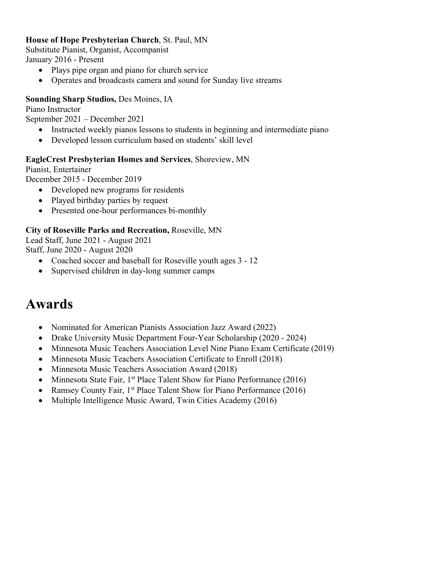#### **House of Hope Presbyterian Church**, St. Paul, MN

Substitute Pianist, Organist, Accompanist January 2016 - Present

- Plays pipe organ and piano for church service
- Operates and broadcasts camera and sound for Sunday live streams

#### **Sounding Sharp Studios,** Des Moines, IA

Piano Instructor

September 2021 – December 2021

- Instructed weekly pianos lessons to students in beginning and intermediate piano
- Developed lesson curriculum based on students' skill level

#### **EagleCrest Presbyterian Homes and Services**, Shoreview, MN

Pianist, Entertainer

December 2015 - December 2019

- Developed new programs for residents
- Played birthday parties by request
- Presented one-hour performances bi-monthly

#### **City of Roseville Parks and Recreation,** Roseville, MN

Lead Staff, June 2021 - August 2021 Staff, June 2020 - August 2020

- Coached soccer and baseball for Roseville youth ages  $3 12$
- Supervised children in day-long summer camps

## **Awards**

- Nominated for American Pianists Association Jazz Award (2022)
- Drake University Music Department Four-Year Scholarship (2020 2024)
- Minnesota Music Teachers Association Level Nine Piano Exam Certificate (2019)
- Minnesota Music Teachers Association Certificate to Enroll (2018)
- Minnesota Music Teachers Association Award (2018)
- Minnesota State Fair,  $1^{st}$  Place Talent Show for Piano Performance (2016)
- Ramsey County Fair, 1<sup>st</sup> Place Talent Show for Piano Performance (2016)
- Multiple Intelligence Music Award, Twin Cities Academy (2016)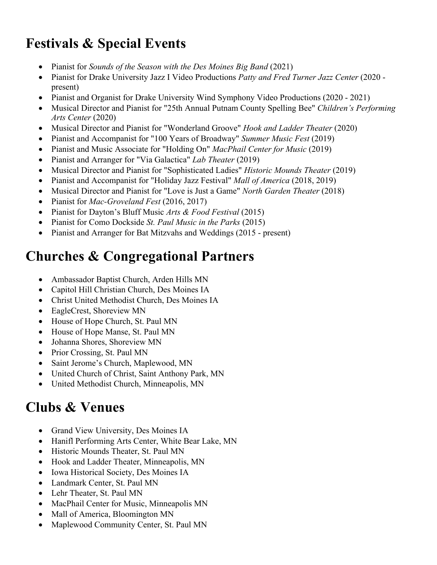# **Festivals & Special Events**

- Pianist for *Sounds of the Season with the Des Moines Big Band* (2021)
- Pianist for Drake University Jazz I Video Productions *Patty and Fred Turner Jazz Center* (2020 present)
- Pianist and Organist for Drake University Wind Symphony Video Productions (2020 2021)
- Musical Director and Pianist for "25th Annual Putnam County Spelling Bee" *Children's Performing Arts Center* (2020)
- Musical Director and Pianist for "Wonderland Groove" *Hook and Ladder Theater* (2020)
- Pianist and Accompanist for "100 Years of Broadway" *Summer Music Fest* (2019)
- Pianist and Music Associate for "Holding On" *MacPhail Center for Music* (2019)
- Pianist and Arranger for "Via Galactica" *Lab Theater* (2019)
- Musical Director and Pianist for "Sophisticated Ladies" *Historic Mounds Theater* (2019)
- Pianist and Accompanist for "Holiday Jazz Festival" *Mall of America* (2018, 2019)
- Musical Director and Pianist for "Love is Just a Game" *North Garden Theater* (2018)
- Pianist for *Mac-Groveland Fest* (2016, 2017)
- Pianist for Dayton's Bluff Music *Arts & Food Festival* (2015)
- Pianist for Como Dockside *St. Paul Music in the Parks* (2015)
- Pianist and Arranger for Bat Mitzvahs and Weddings (2015 present)

# **Churches & Congregational Partners**

- Ambassador Baptist Church, Arden Hills MN
- Capitol Hill Christian Church, Des Moines IA
- Christ United Methodist Church, Des Moines IA
- EagleCrest, Shoreview MN
- House of Hope Church, St. Paul MN
- House of Hope Manse, St. Paul MN
- Johanna Shores, Shoreview MN
- Prior Crossing, St. Paul MN
- Saint Jerome's Church, Maplewood, MN
- United Church of Christ, Saint Anthony Park, MN
- United Methodist Church, Minneapolis, MN

## **Clubs & Venues**

- Grand View University, Des Moines IA
- Hanifl Performing Arts Center, White Bear Lake, MN
- Historic Mounds Theater, St. Paul MN
- Hook and Ladder Theater, Minneapolis, MN
- Iowa Historical Society, Des Moines IA
- Landmark Center, St. Paul MN
- Lehr Theater, St. Paul MN
- MacPhail Center for Music, Minneapolis MN
- Mall of America, Bloomington MN
- Maplewood Community Center, St. Paul MN